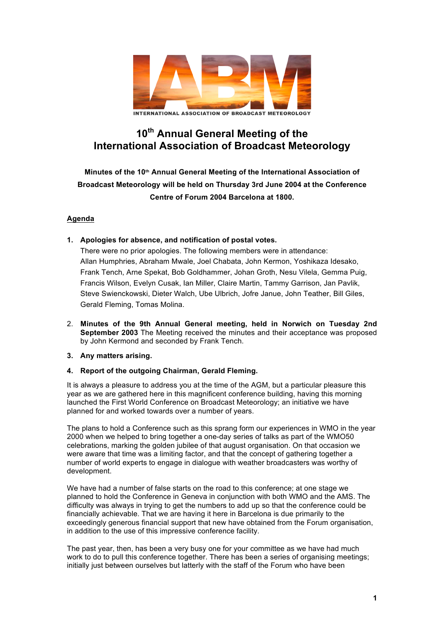

**INTERNATIONAL ASSOCIATION OF BROADCAST METEOROLOGY** 

# **10th Annual General Meeting of the International Association of Broadcast Meteorology**

**Minutes of the 10<sup>th</sup> Annual General Meeting of the International Association of Broadcast Meteorology will be held on Thursday 3rd June 2004 at the Conference Centre of Forum 2004 Barcelona at 1800.**

# **Agenda**

## **1. Apologies for absence, and notification of postal votes.**

There were no prior apologies. The following members were in attendance: Allan Humphries, Abraham Mwale, Joel Chabata, John Kermon, Yoshikaza Idesako, Frank Tench, Arne Spekat, Bob Goldhammer, Johan Groth, Nesu Vilela, Gemma Puig, Francis Wilson, Evelyn Cusak, Ian Miller, Claire Martin, Tammy Garrison, Jan Pavlik, Steve Swienckowski, Dieter Walch, Ube Ulbrich, Jofre Janue, John Teather, Bill Giles, Gerald Fleming, Tomas Molina.

2. **Minutes of the 9th Annual General meeting, held in Norwich on Tuesday 2nd September 2003** The Meeting received the minutes and their acceptance was proposed by John Kermond and seconded by Frank Tench.

## **3. Any matters arising.**

# **4. Report of the outgoing Chairman, Gerald Fleming.**

It is always a pleasure to address you at the time of the AGM, but a particular pleasure this year as we are gathered here in this magnificent conference building, having this morning launched the First World Conference on Broadcast Meteorology; an initiative we have planned for and worked towards over a number of years.

The plans to hold a Conference such as this sprang form our experiences in WMO in the year 2000 when we helped to bring together a one-day series of talks as part of the WMO50 celebrations, marking the golden jubilee of that august organisation. On that occasion we were aware that time was a limiting factor, and that the concept of gathering together a number of world experts to engage in dialogue with weather broadcasters was worthy of development.

We have had a number of false starts on the road to this conference; at one stage we planned to hold the Conference in Geneva in conjunction with both WMO and the AMS. The difficulty was always in trying to get the numbers to add up so that the conference could be financially achievable. That we are having it here in Barcelona is due primarily to the exceedingly generous financial support that new have obtained from the Forum organisation, in addition to the use of this impressive conference facility.

The past year, then, has been a very busy one for your committee as we have had much work to do to pull this conference together. There has been a series of organising meetings; initially just between ourselves but latterly with the staff of the Forum who have been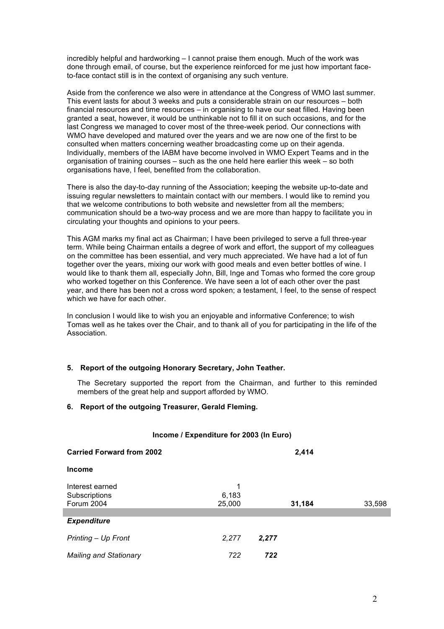incredibly helpful and hardworking – I cannot praise them enough. Much of the work was done through email, of course, but the experience reinforced for me just how important faceto-face contact still is in the context of organising any such venture.

Aside from the conference we also were in attendance at the Congress of WMO last summer. This event lasts for about 3 weeks and puts a considerable strain on our resources – both financial resources and time resources – in organising to have our seat filled. Having been granted a seat, however, it would be unthinkable not to fill it on such occasions, and for the last Congress we managed to cover most of the three-week period. Our connections with WMO have developed and matured over the years and we are now one of the first to be consulted when matters concerning weather broadcasting come up on their agenda. Individually, members of the IABM have become involved in WMO Expert Teams and in the organisation of training courses – such as the one held here earlier this week – so both organisations have, I feel, benefited from the collaboration.

There is also the day-to-day running of the Association; keeping the website up-to-date and issuing regular newsletters to maintain contact with our members. I would like to remind you that we welcome contributions to both website and newsletter from all the members; communication should be a two-way process and we are more than happy to facilitate you in circulating your thoughts and opinions to your peers.

This AGM marks my final act as Chairman; I have been privileged to serve a full three-year term. While being Chairman entails a degree of work and effort, the support of my colleagues on the committee has been essential, and very much appreciated. We have had a lot of fun together over the years, mixing our work with good meals and even better bottles of wine. I would like to thank them all, especially John, Bill, Inge and Tomas who formed the core group who worked together on this Conference. We have seen a lot of each other over the past year, and there has been not a cross word spoken; a testament, I feel, to the sense of respect which we have for each other.

In conclusion I would like to wish you an enjoyable and informative Conference; to wish Tomas well as he takes over the Chair, and to thank all of you for participating in the life of the Association.

#### **5. Report of the outgoing Honorary Secretary, John Teather.**

The Secretary supported the report from the Chairman, and further to this reminded members of the great help and support afforded by WMO.

#### **6. Report of the outgoing Treasurer, Gerald Fleming.**

## **Income / Expenditure for 2003 (In Euro)**

| <b>Carried Forward from 2002</b>               |                      |       | 2,414  |        |
|------------------------------------------------|----------------------|-------|--------|--------|
| <b>Income</b>                                  |                      |       |        |        |
| Interest earned<br>Subscriptions<br>Forum 2004 | 1<br>6,183<br>25,000 |       | 31,184 | 33,598 |
| <b>Expenditure</b>                             |                      |       |        |        |
| Printing - Up Front                            | 2,277                | 2,277 |        |        |
| <b>Mailing and Stationary</b>                  | 722                  | 722   |        |        |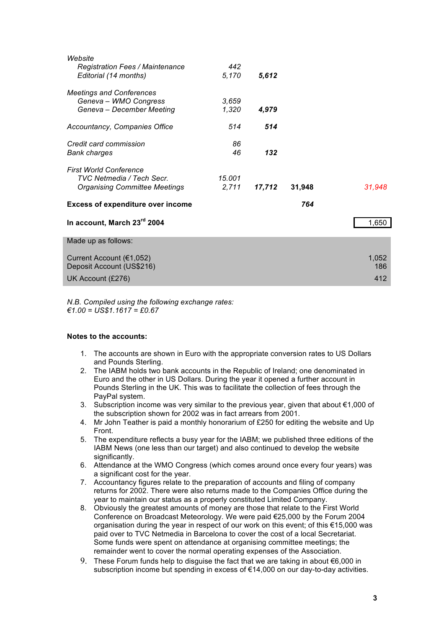| Website                                  |        |        |        |        |
|------------------------------------------|--------|--------|--------|--------|
| <b>Registration Fees / Maintenance</b>   | 442    |        |        |        |
| Editorial (14 months)                    | 5,170  | 5,612  |        |        |
| <b>Meetings and Conferences</b>          |        |        |        |        |
| Geneva - WMO Congress                    | 3,659  |        |        |        |
| Geneva - December Meeting                | 1,320  | 4,979  |        |        |
| Accountancy, Companies Office            | 514    | 514    |        |        |
| Credit card commission                   | 86     |        |        |        |
| <b>Bank charges</b>                      | 46     | 132    |        |        |
| <b>First World Conference</b>            |        |        |        |        |
| TVC Netmedia / Tech Secr.                | 15.001 |        |        |        |
| <b>Organising Committee Meetings</b>     | 2,711  | 17,712 | 31,948 | 31,948 |
| <b>Excess of expenditure over income</b> |        |        | 764    |        |
| In account, March 23rd 2004              |        |        |        | 1,650  |
| Made up as follows:                      |        |        |        |        |
| Current Account (€1,052)                 |        |        |        | 1,052  |
| Deposit Account (US\$216)                |        |        |        | 186    |
| UK Account (£276)                        |        |        |        | 412    |

*N.B. Compiled using the following exchange rates: €1.00 = US\$1.1617 = £0.67*

#### **Notes to the accounts:**

- 1. The accounts are shown in Euro with the appropriate conversion rates to US Dollars and Pounds Sterling.
- 2. The IABM holds two bank accounts in the Republic of Ireland; one denominated in Euro and the other in US Dollars. During the year it opened a further account in Pounds Sterling in the UK. This was to facilitate the collection of fees through the PayPal system.
- 3. Subscription income was very similar to the previous year, given that about €1,000 of the subscription shown for 2002 was in fact arrears from 2001.
- 4. Mr John Teather is paid a monthly honorarium of £250 for editing the website and Up Front.
- 5. The expenditure reflects a busy year for the IABM; we published three editions of the IABM News (one less than our target) and also continued to develop the website significantly.
- 6. Attendance at the WMO Congress (which comes around once every four years) was a significant cost for the year.
- 7. Accountancy figures relate to the preparation of accounts and filing of company returns for 2002. There were also returns made to the Companies Office during the year to maintain our status as a properly constituted Limited Company.
- 8. Obviously the greatest amounts of money are those that relate to the First World Conference on Broadcast Meteorology. We were paid €25,000 by the Forum 2004 organisation during the year in respect of our work on this event; of this €15,000 was paid over to TVC Netmedia in Barcelona to cover the cost of a local Secretariat. Some funds were spent on attendance at organising committee meetings; the remainder went to cover the normal operating expenses of the Association.
- 9. These Forum funds help to disquise the fact that we are taking in about  $\epsilon$ 6,000 in subscription income but spending in excess of €14,000 on our day-to-day activities.